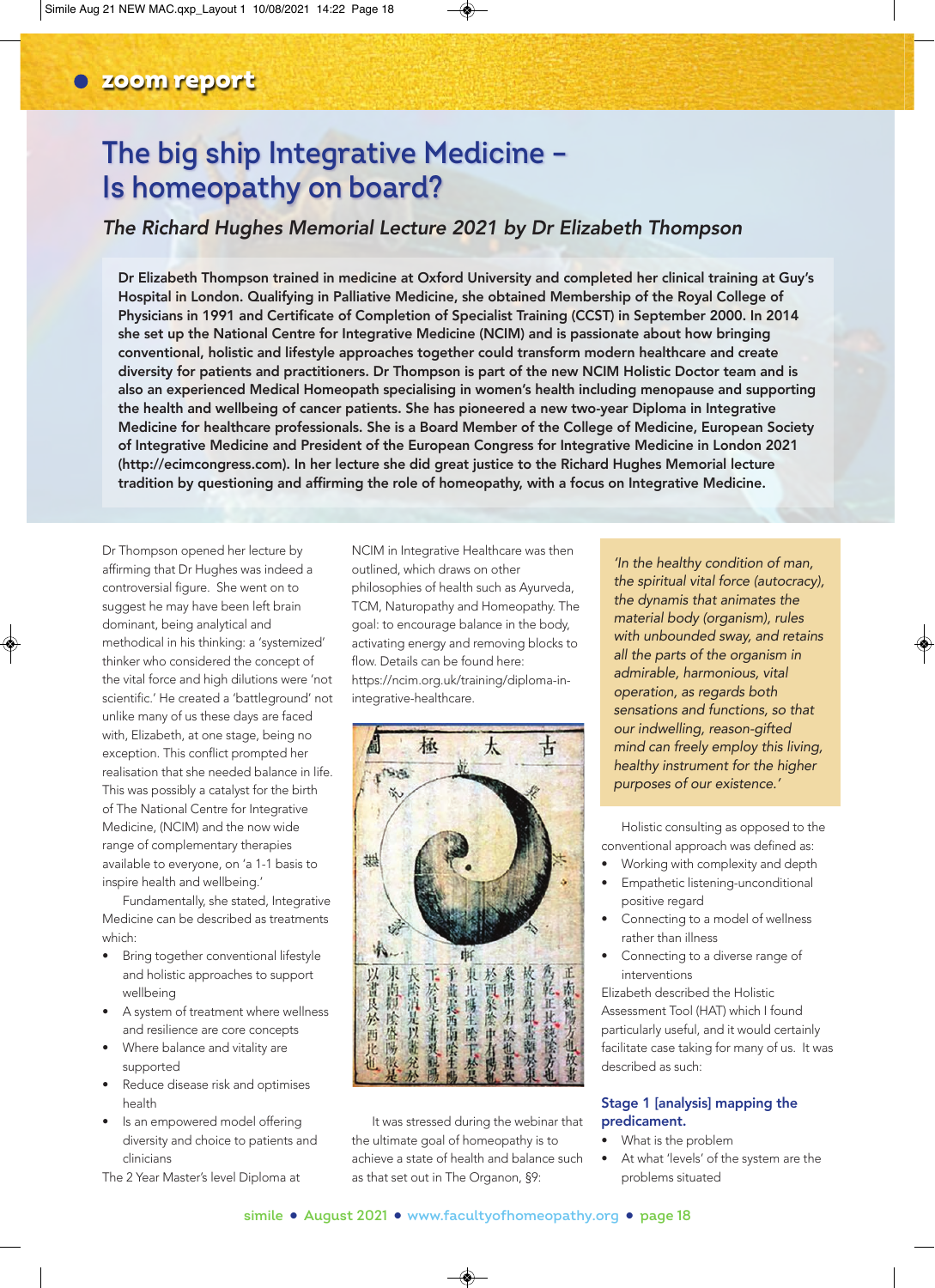# **The big ship Integrative Medicine – Is homeopathy on board?**

### *The Richard Hughes Memorial Lecture 2021 by Dr Elizabeth Thompson*

Dr Elizabeth Thompson trained in medicine at Oxford University and completed her clinical training at Guy's Hospital in London. Qualifying in Palliative Medicine, she obtained Membership of the Royal College of Physicians in 1991 and Certificate of Completion of Specialist Training (CCST) in September 2000. In 2014 she set up the National Centre for Integrative Medicine (NCIM) and is passionate about how bringing conventional, holistic and lifestyle approaches together could transform modern healthcare and create diversity for patients and practitioners. Dr Thompson is part of the new NCIM Holistic Doctor team and is also an experienced Medical Homeopath specialising in women's health including menopause and supporting the health and wellbeing of cancer patients. She has pioneered a new two-year Diploma in Integrative Medicine for healthcare professionals. She is a Board Member of the College of Medicine, European Society of Integrative Medicine and President of the European Congress for Integrative Medicine in London 2021 (http://ecimcongress.com). In her lecture she did great justice to the Richard Hughes Memorial lecture tradition by questioning and affirming the role of homeopathy, with a focus on Integrative Medicine.

Dr Thompson opened her lecture by affirming that Dr Hughes was indeed a controversial figure. She went on to suggest he may have been left brain dominant, being analytical and methodical in his thinking: a 'systemized' thinker who considered the concept of the vital force and high dilutions were 'not scientific.' He created a 'battleground' not unlike many of us these days are faced with, Elizabeth, at one stage, being no exception. This conflict prompted her realisation that she needed balance in life. This was possibly a catalyst for the birth of The National Centre for Integrative Medicine, (NCIM) and the now wide range of complementary therapies available to everyone, on 'a 1-1 basis to inspire health and wellbeing.'

Fundamentally, she stated, Integrative Medicine can be described as treatments which:

- Bring together conventional lifestyle and holistic approaches to support wellbeing
- A system of treatment where wellness and resilience are core concepts
- Where balance and vitality are supported
- Reduce disease risk and optimises health
- Is an empowered model offering diversity and choice to patients and clinicians

The 2 Year Master's level Diploma at

NCIM in Integrative Healthcare was then outlined, which draws on other philosophies of health such as Ayurveda, TCM, Naturopathy and Homeopathy. The goal: to encourage balance in the body, activating energy and removing blocks to flow. Details can be found here: https://ncim.org.uk/training/diploma-inintegrative-healthcare.



It was stressed during the webinar that the ultimate goal of homeopathy is to achieve a state of health and balance such as that set out in The Organon, §9:

*'In the healthy condition of man, the spiritual vital force (autocracy), the dynamis that animates the material body (organism), rules with unbounded sway, and retains all the parts of the organism in admirable, harmonious, vital operation, as regards both sensations and functions, so that our indwelling, reason-gifted mind can freely employ this living, healthy instrument for the higher purposes of our existence.'* 

Holistic consulting as opposed to the conventional approach was defined as:

- Working with complexity and depth
- Empathetic listening-unconditional positive regard
- Connecting to a model of wellness rather than illness
- Connecting to a diverse range of interventions

Elizabeth described the Holistic Assessment Tool (HAT) which I found particularly useful, and it would certainly facilitate case taking for many of us. It was described as such:

### Stage 1 [analysis] mapping the predicament.

- What is the problem
- At what 'levels' of the system are the problems situated